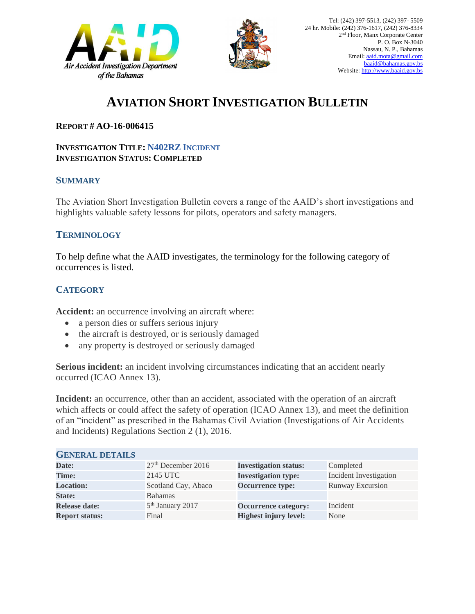



# **AVIATION SHORT INVESTIGATION BULLETIN**

### **REPORT # AO-16-006415**

#### **INVESTIGATION TITLE: N402RZ INCIDENT INVESTIGATION STATUS: COMPLETED**

#### **SUMMARY**

The Aviation Short Investigation Bulletin covers a range of the AAID's short investigations and highlights valuable safety lessons for pilots, operators and safety managers.

### **TERMINOLOGY**

To help define what the AAID investigates, the terminology for the following category of occurrences is listed.

## **CATEGORY**

**Accident:** an occurrence involving an aircraft where:

- a person dies or suffers serious injury
- the aircraft is destroyed, or is seriously damaged
- any property is destroyed or seriously damaged

**Serious incident:** an incident involving circumstances indicating that an accident nearly occurred (ICAO Annex 13).

**Incident:** an occurrence, other than an accident, associated with the operation of an aircraft which affects or could affect the safety of operation (ICAO Annex 13), and meet the definition of an "incident" as prescribed in the Bahamas Civil Aviation (Investigations of Air Accidents and Incidents) Regulations Section 2 (1), 2016.

| <b>GENERAL DETAILS</b> |                      |                              |                         |
|------------------------|----------------------|------------------------------|-------------------------|
| Date:                  | $27th$ December 2016 | <b>Investigation status:</b> | Completed               |
| <b>Time:</b>           | 2145 UTC             | <b>Investigation type:</b>   | Incident Investigation  |
| <b>Location:</b>       | Scotland Cay, Abaco  | Occurrence type:             | <b>Runway Excursion</b> |
| <b>State:</b>          | Bahamas              |                              |                         |
| <b>Release date:</b>   | $5th$ January 2017   | <b>Occurrence category:</b>  | Incident                |
| <b>Report status:</b>  | Final                | <b>Highest injury level:</b> | None                    |